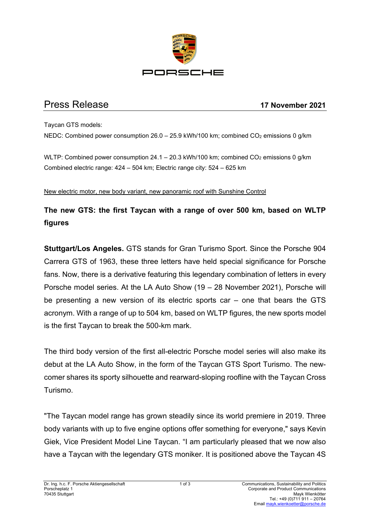

## Press Release **17 November 2021**

Taycan GTS models: NEDC: Combined power consumption  $26.0 - 25.9$  kWh/100 km; combined CO<sub>2</sub> emissions 0  $a/km$ 

WLTP: Combined power consumption  $24.1 - 20.3$  kWh/100 km; combined  $CO<sub>2</sub>$  emissions 0 g/km Combined electric range: 424 – 504 km; Electric range city: 524 – 625 km

New electric motor, new body variant, new panoramic roof with Sunshine Control

# **The new GTS: the first Taycan with a range of over 500 km, based on WLTP figures**

**Stuttgart/Los Angeles.** GTS stands for Gran Turismo Sport. Since the Porsche 904 Carrera GTS of 1963, these three letters have held special significance for Porsche fans. Now, there is a derivative featuring this legendary combination of letters in every Porsche model series. At the LA Auto Show (19 – 28 November 2021), Porsche will be presenting a new version of its electric sports car – one that bears the GTS acronym. With a range of up to 504 km, based on WLTP figures, the new sports model is the first Taycan to break the 500-km mark.

The third body version of the first all-electric Porsche model series will also make its debut at the LA Auto Show, in the form of the Taycan GTS Sport Turismo. The newcomer shares its sporty silhouette and rearward-sloping roofline with the Taycan Cross Turismo.

"The Taycan model range has grown steadily since its world premiere in 2019. Three body variants with up to five engine options offer something for everyone," says Kevin Giek, Vice President Model Line Taycan. "I am particularly pleased that we now also have a Taycan with the legendary GTS moniker. It is positioned above the Taycan 4S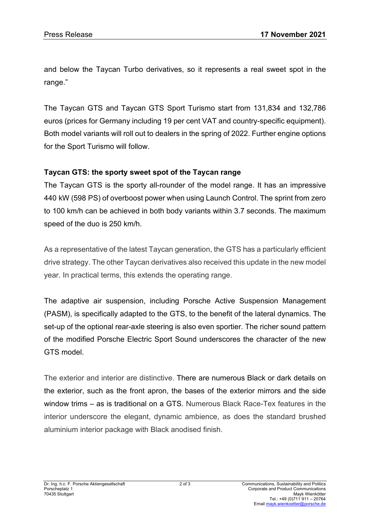and below the Taycan Turbo derivatives, so it represents a real sweet spot in the range."

The Taycan GTS and Taycan GTS Sport Turismo start from 131,834 and 132,786 euros (prices for Germany including 19 per cent VAT and country-specific equipment). Both model variants will roll out to dealers in the spring of 2022. Further engine options for the Sport Turismo will follow.

#### **Taycan GTS: the sporty sweet spot of the Taycan range**

The Taycan GTS is the sporty all-rounder of the model range. It has an impressive 440 kW (598 PS) of overboost power when using Launch Control. The sprint from zero to 100 km/h can be achieved in both body variants within 3.7 seconds. The maximum speed of the duo is 250 km/h.

As a representative of the latest Taycan generation, the GTS has a particularly efficient drive strategy. The other Taycan derivatives also received this update in the new model year. In practical terms, this extends the operating range.

The adaptive air suspension, including Porsche Active Suspension Management (PASM), is specifically adapted to the GTS, to the benefit of the lateral dynamics. The set-up of the optional rear-axle steering is also even sportier. The richer sound pattern of the modified Porsche Electric Sport Sound underscores the character of the new GTS model.

The exterior and interior are distinctive. There are numerous Black or dark details on the exterior, such as the front apron, the bases of the exterior mirrors and the side window trims – as is traditional on a GTS. Numerous Black Race-Tex features in the interior underscore the elegant, dynamic ambience, as does the standard brushed aluminium interior package with Black anodised finish.